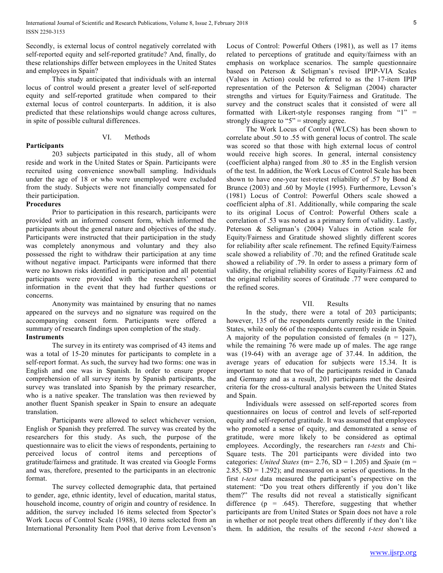Secondly, is external locus of control negatively correlated with self-reported equity and self-reported gratitude? And, finally, do these relationships differ between employees in the United States and employees in Spain?

This study anticipated that individuals with an internal locus of control would present a greater level of self-reported equity and self-reported gratitude when compared to their external locus of control counterparts. In addition, it is also predicted that these relationships would change across cultures, in spite of possible cultural differences.

# VI. Methods

203 subjects participated in this study, all of whom reside and work in the United States or Spain. Participants were recruited using convenience snowball sampling. Individuals under the age of 18 or who were unemployed were excluded from the study. Subjects were not financially compensated for their participation.

## **Procedures**

**Participants**

Prior to participation in this research, participants were provided with an informed consent form, which informed the participants about the general nature and objectives of the study. Participants were instructed that their participation in the study was completely anonymous and voluntary and they also possessed the right to withdraw their participation at any time without negative impact. Participants were informed that there were no known risks identified in participation and all potential participants were provided with the researchers' contact information in the event that they had further questions or concerns.

Anonymity was maintained by ensuring that no names appeared on the surveys and no signature was required on the accompanying consent form. Participants were offered a summary of research findings upon completion of the study.

# **Instruments**

The survey in its entirety was comprised of 43 items and was a total of 15-20 minutes for participants to complete in a self-report format. As such, the survey had two forms: one was in English and one was in Spanish. In order to ensure proper comprehension of all survey items by Spanish participants, the survey was translated into Spanish by the primary researcher, who is a native speaker. The translation was then reviewed by another fluent Spanish speaker in Spain to ensure an adequate translation.

Participants were allowed to select whichever version, English or Spanish they preferred. The survey was created by the researchers for this study. As such, the purpose of the questionnaire was to elicit the views of respondents, pertaining to perceived locus of control items and perceptions of gratitude/fairness and gratitude. It was created via Google Forms and was, therefore, presented to the participants in an electronic format.

The survey collected demographic data, that pertained to gender, age, ethnic identity, level of education, marital status, household income, country of origin and country of residence. In addition, the survey included 16 items selected from Spector's Work Locus of Control Scale (1988), 10 items selected from an International Personality Item Pool that derive from Levenson's Locus of Control: Powerful Others (1981), as well as 17 items related to perceptions of gratitude and equity/fairness with an emphasis on workplace scenarios. The sample questionnaire based on Peterson & Seligman's revised IPIP-VIA Scales (Values in Action) could be referred to as the 17-item IPIP representation of the Peterson & Seligman (2004) character strengths and virtues for Equity/Fairness and Gratitude. The survey and the construct scales that it consisted of were all formatted with Likert-style responses ranging from " $1" =$ strongly disagree to "5" = strongly agree.

The Work Locus of Control (WLCS) has been shown to correlate about .50 to .55 with general locus of control. The scale was scored so that those with high external locus of control would receive high scores. In general, internal consistency (coefficient alpha) ranged from .80 to .85 in the English version of the test. In addition, the Work Locus of Control Scale has been shown to have one-year test-retest reliability of .57 by Bond & Brunce (2003) and .60 by Moyle (1995). Furthermore, Levson's (1981) Locus of Control: Powerful Others scale showed a coefficient alpha of .81. Additionally, while comparing the scale to its original Locus of Control: Powerful Others scale a correlation of .53 was noted as a primary form of validity. Lastly, Peterson & Seligman's (2004) Values in Action scale for Equity/Fairness and Gratitude showed slightly different scores for reliability after scale refinement. The refined Equity/Fairness scale showed a reliability of .70; and the refined Gratitude scale showed a reliability of .79. In order to assess a primary form of validity, the original reliability scores of Equity/Fairness .62 and the original reliability scores of Gratitude .77 were compared to the refined scores.

# VII. Results

In the study, there were a total of 203 participants; however, 135 of the respondents currently reside in the United States, while only 66 of the respondents currently reside in Spain. A majority of the population consisted of females  $(n = 127)$ , while the remaining 76 were made up of males. The age range was (19-64) with an average age of 37.44. In addition, the average years of education for subjects were 15.34. It is important to note that two of the participants resided in Canada and Germany and as a result, 201 participants met the desired criteria for the cross-cultural analysis between the United States and Spain.

Individuals were assessed on self-reported scores from questionnaires on locus of control and levels of self-reported equity and self-reported gratitude. It was assumed that employees who promoted a sense of equity, and demonstrated a sense of gratitude, were more likely to be considered as optimal employees. Accordingly, the researchers ran *t-tests* and Chi-Square tests. The 201 participants were divided into two categories: *United States* ( $m= 2.76$ ,  $SD = 1.205$ ) and *Spain* ( $m =$ 2.85,  $SD = 1.292$ ; and measured on a series of questions. In the first *t-test* data measured the participant's perspective on the statement: "Do you treat others differently if you don't like them?" The results did not reveal a statistically significant difference ( $p = .645$ ). Therefore, suggesting that whether participants are from United States or Spain does not have a role in whether or not people treat others differently if they don't like them. In addition, the results of the second *t-test* showed a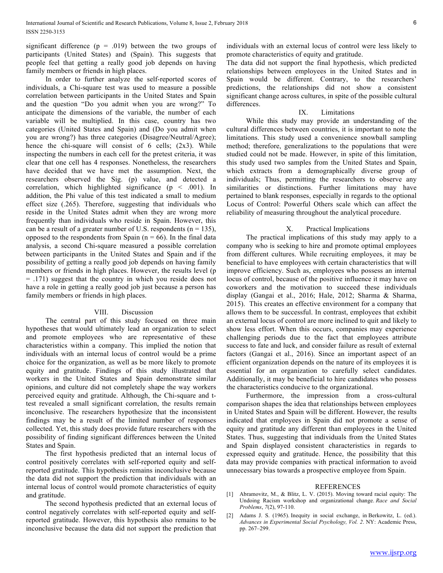significant difference ( $p = .019$ ) between the two groups of participants (United States) and (Spain). This suggests that people feel that getting a really good job depends on having family members or friends in high places.

In order to further analyze the self-reported scores of individuals, a Chi-square test was used to measure a possible correlation between participants in the United States and Spain and the question "Do you admit when you are wrong?" To anticipate the dimensions of the variable, the number of each variable will be multiplied. In this case, country has two categories (United States and Spain) and (Do you admit when you are wrong?) has three categories (Disagree/Neutral/Agree); hence the chi-square will consist of  $6$  cells;  $(2x3)$ . While inspecting the numbers in each cell for the pretest criteria, it was clear that one cell has 4 responses. Nonetheless, the researchers have decided that we have met the assumption. Next, the researchers observed the Sig. (p) value, and detected a correlation, which highlighted significance (p < .001). In addition, the Phi value of this test indicated a small to medium effect size (.265). Therefore, suggesting that individuals who reside in the United States admit when they are wrong more frequently than individuals who reside in Spain. However, this can be a result of a greater number of U.S. respondents ( $n = 135$ ), opposed to the respondents from Spain  $(n = 66)$ . In the final data analysis, a second Chi-square measured a possible correlation between participants in the United States and Spain and if the possibility of getting a really good job depends on having family members or friends in high places. However, the results level (p = .171) suggest that the country in which you reside does not have a role in getting a really good job just because a person has family members or friends in high places.

### VIII. Discussion

The central part of this study focused on three main hypotheses that would ultimately lead an organization to select and promote employees who are representative of these characteristics within a company. This implied the notion that individuals with an internal locus of control would be a prime choice for the organization, as well as be more likely to promote equity and gratitude. Findings of this study illustrated that workers in the United States and Spain demonstrate similar opinions, and culture did not completely shape the way workers perceived equity and gratitude. Although, the Chi-square and ttest revealed a small significant correlation, the results remain inconclusive. The researchers hypothesize that the inconsistent findings may be a result of the limited number of responses collected. Yet, this study does provide future researchers with the possibility of finding significant differences between the United States and Spain.

The first hypothesis predicted that an internal locus of control positively correlates with self-reported equity and selfreported gratitude. This hypothesis remains inconclusive because the data did not support the prediction that individuals with an internal locus of control would promote characteristics of equity and gratitude.

The second hypothesis predicted that an external locus of control negatively correlates with self-reported equity and selfreported gratitude. However, this hypothesis also remains to be inconclusive because the data did not support the prediction that individuals with an external locus of control were less likely to promote characteristics of equity and gratitude.

The data did not support the final hypothesis, which predicted relationships between employees in the United States and in Spain would be different. Contrary, to the researchers' predictions, the relationships did not show a consistent significant change across cultures, in spite of the possible cultural differences.

### IX. Limitations

While this study may provide an understanding of the cultural differences between countries, it is important to note the limitations. This study used a convenience snowball sampling method; therefore, generalizations to the populations that were studied could not be made. However, in spite of this limitation, this study used two samples from the United States and Spain, which extracts from a demographically diverse group of individuals; Thus, permitting the researchers to observe any similarities or distinctions. Further limitations may have pertained to blank responses, especially in regards to the optional Locus of Control: Powerful Others scale which can affect the reliability of measuring throughout the analytical procedure.

#### X. Practical Implications

The practical implications of this study may apply to a company who is seeking to hire and promote optimal employees from different cultures. While recruiting employees, it may be beneficial to have employees with certain characteristics that will improve efficiency. Such as, employees who possess an internal locus of control, because of the positive influence it may have on coworkers and the motivation to succeed these individuals display (Gangai et al., 2016; Hale, 2012; Sharma & Sharma, 2015). This creates an effective environment for a company that allows them to be successful. In contrast, employees that exhibit an external locus of control are more inclined to quit and likely to show less effort. When this occurs, companies may experience challenging periods due to the fact that employees attribute success to fate and luck, and consider failure as result of external factors (Gangai et al., 2016). Since an important aspect of an efficient organization depends on the nature of its employees it is essential for an organization to carefully select candidates. Additionally, it may be beneficial to hire candidates who possess the characteristics conducive to the organizational.

Furthermore, the impression from a cross-cultural comparison shapes the idea that relationships between employees in United States and Spain will be different. However, the results indicated that employees in Spain did not promote a sense of equity and gratitude any different than employees in the United States. Thus, suggesting that individuals from the United States and Spain displayed consistent characteristics in regards to expressed equity and gratitude. Hence, the possibility that this data may provide companies with practical information to avoid unnecessary bias towards a prospective employee from Spain.

#### REFERENCES

- [1] Abramovitz, M., & Blitz, L. V. (2015). Moving toward racial equity: The Undoing Racism workshop and organizational change. *Race and Social Problems*, *7*(2), 97-110.
- [2] Adams J. S. (1965). Inequity in social exchange, in Berkowitz, L. (ed.). *Advances in Experimental Social Psychology, Vol. 2*. NY: Academic Press, pp. 267–299.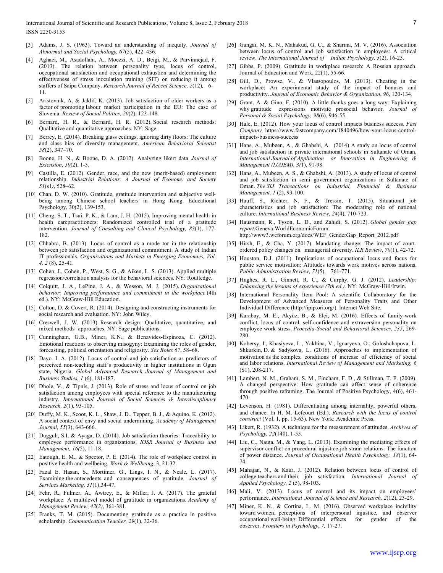- [3] Adams, J. S. (1963). Toward an understanding of inequity. *Journal of Abnormal and Social Psychology, 67*(5), 422–436.
- [4] Aghaei, M., Asadollahi, A., Moezzi, A. D., Beigi, M., & Parvinnejad, F. (2013). The relation between personality type, locus of control, occupational satisfaction and occupational exhaustion and determining the effectiveness of stress inoculation training (SIT) on reducing it among staffers of Saipa Company. *Research Journal of Recent Science, 2*(12)*,* 6- 11.
- [5] Aristovnik, A. & Jaklif, K. (2013). Job satisfaction of older workers as a factor of promoting labour market participation in the EU: The case of Slovenia. *Review of Social Politics, 20*(2), 123-148.
- [6] Bernard, H. R., & Bernard, H. R. (2012). Social research methods: Qualitative and quantitative approaches. NY: Sage.
- [7] Berrey, E. (2014). Breaking glass ceilings, ignoring dirty floors: The culture and class bias of diversity management. *American Behavioral Scientist 58*(2), 347–70.
- [8] Boone, H. N., & Boone, D. A. (2012). Analyzing likert data. *Journal of Extension*, *50*(2), 1-5.
- Castilla, E. (2012). Gender, race, and the new (merit-based) employment relationship. *Industrial Relations: A Journal of Economy and Society 51*(s1*)*, 528–62.
- [10] Chan, D. W. (2010). Gratitude, gratitude intervention and subjective wellbeing among Chinese school teachers in Hong Kong. Educational Psychology, 30(2), 139-153.
- [11] Cheng, S. T., Tsui, P. K., & Lam, J. H. (2015). Improving mental health in health carepractitioners: Randomized controlled trial of a gratitude intervention. *Journal of Consulting and Clinical Psychology, 83*(1), 177- 182.
- [12] Chhabra, B. (2013). Locus of control as a mode tor in the relationship between job satisfaction and organizational commitment: A study of Indian IT professionals. *Organizations and Markets in Emerging Economies, Vol. 4, 2* (8), 25-41.
- [13] Cohen, J., Cohen, P., West, S. G., & Aiken, L. S. (2013). Applied multiple regression/correlation analysis for the behavioral sciences. NY: Routledge.
- [14] Colquitt, J. A., LePine, J. A., & Wesson, M. J. (2015). *Organizational behavior: Improving performance and commitment in the workplace* (4th ed.). NY: McGraw-Hill Education.
- [15] Colton, D. & Covert, R. (2014). Designing and constructing instruments for social research and evaluation. NY: John Wiley.
- [16] Creswell, J. W. (2013). Research design: Qualitative, quantitative, and mixed methods approaches. NY: Sage publications.
- [17] Cunningham, G.B., Miner, K.N., & Benavides-Espinoza, C. (2012). Emotional reactions to observing misogyny: Examining the roles of gender, forecasting, political orientation and religiosity. *Sex Roles 67*, 58–68.
- [18] Dayo. I. A. (2012). Locus of control and job satisfaction as predictors of perceived non-teaching staff's productivity in higher institutions in Ogun state, Nigeria. *Global Advanced Research Journal of Management and Business Studies, 1* (6), 181-187.
- [19] Dhole, V., & Tipnis, J. (2013). Role of stress and locus of control on job satisfaction among employees with special reference to the manufacturing industry. *International Journal of Social Sciences & Interdisciplinary Research, 2*(1), 93-105.
- [20] Duffy, M. K., Scoot, K. L., Shaw, J. D., Tepper, B. J., & Aquino, K. (2012). A social context of envy and social undermining. *Academy of Management Journal, 55*(3), 643-666.
- [21] Dugguh, S.I. & Ayaga, D. (2014). Job satisfaction theories: Traceability to employee performance in organizations. *IOSR Journal of Business and Management, 16(*5), 11-18.
- [22] Eatough, E. M., & Spector, P. E. (2014). The role of workplace control in positive health and wellbeing. *Work & Wellbeing*, 3, 21-32.
- [23] Fazal E. Hasan, S., Mortimer, G., Lings, I. N., & Neale, L. (2017). Examining the antecedents and consequences of gratitude*. Journal of Services Marketing, 31*(1),34-47.
- [24] Fehr, R., Fulmer, A., Awtrey, E., & Miller, J. A. (2017). The grateful workplace: A multilevel model of gratitude in organizations. *Academy of Management Review*, *42*(*2)*, 361-381.
- [25] Franks, T. M. (2015). Documenting gratitude as a practice in positive scholarship. *Communication Teacher, 29*(1), 32-36.
- [26] Gangai, M. K. N., Mahakud, G. C., & Sharma, M. V. (2016). Association between locus of control and job satisfaction in employees: A critical review. *The International Journal of Indian Psychology, 3*(2), 16-25.
- [27] Gibbs, P. (2009). Gratitude in workplace research: A Rossian approach. Journal of Education and Work, 22(1), 55-66.
- [28] Gill, D., Prowse, V., & Vlassopoulos, M. (2013). Cheating in the workplace: An experimental study of the impact of bonuses and productivity. *Journal of Economic Behavior & Organization*, *96*, 120-134.
- [29] Grant, A. & Gino, F. (2010). A little thanks goes a long way: Explaining why gratitude expressions motivate prosocial behavior. *Journal of Personal & Social Psychology, 98*(6), 946-55.
- [30] Hale, E. (2012). How your locus of control impacts business success. *Fast Company,* https://www.fastcompany.com/1840496/how-your-locus-controlimpacts-business-success
- [31] Hans, A., Mubeen, A., & Ghabshi, A. (2014) A study on locus of control and job satisfaction in private international schools in Sultanate of Oman, *International Journal of Application or Innovation in Engineering & Management (IJAIEM), 3(*1), 91-98.
- [32] Hans, A., Mubeen, A. S., & Ghabshi, A. (2013). A study of locus of control and job satisfaction in semi government organizations in Sultanate of Oman. *The SIJ Transactions on Industrial, Financial & Business Management, 1* (2), 93-100.
- [33] Hauff, S., Richter, N. F., & Tressin, T. (2015). Situational job characteristics and job satisfaction: The moderating role of national culture. *International Business Review*, *24*(4), 710-723.
- [34] Hausmann, R., Tyson, L. D., and Zahidi, S. (2012). *Global gender gap report*.Geneva:WorldEconomicForum. http://www3.weforum.org/docs/WEF\_GenderGap\_Report\_2012.pdf
- [35] Hirsh, E., & Cha, Y. (2017). Mandating change: The impact of courtordered policy changes on managerial diversity. *ILR Review*, *70*(1), 42-72.
- [36] Houston, D.J. (2011). Implications of occupational locus and focus for public service motivation: Attitudes towards work motives across nations. *Public Administration Review, 71*(5), 761-771.
- [37] Hughes, R. L., Ginnett, R. C., & Curphy, G. J. (2012). *Leadership: Enhancing the lessons of experience (7th ed.).* NY: McGraw-Hill/Irwin.
- [38] International Personality Item Pool: A scientific Collaboratory for the Development of Advanced Measures of Personality Traits and Other Individual Difference (http://ipip.ori.org/). Internet Web Site.
- [39] Karabay, M. E., Akyüz, B., & Elçi, M. (2016). Effects of family-work conflict, locus of control, self-confidence and extraversion personality on employee work stress. *Procedia-Social and Behavioral Sciences*, *235*, 269- 280.
- [40] Kobersy, I., Khasiyeva, L., Yakhina, V., Ignaryeva, O., Goloshchapova, L, Shkurkin, D. & Sadykova, L. (2016). Approaches to implementation of motivation as the complex conditions of increase of efficiency of social and labor relations. *International Review of Management and Marketing, 6*  (S1), 208-217.
- [41] Lambert, N. M., Graham, S. M., Fincham, F. D., & Stillman, T. F. (2009). A changed perspective: How gratitude can affect sense of coherence through positive reframing. The Journal of Positive Psychology, 4(6), 461- 470.
- [42] Levenson, H. (1981). Differentiating among internality, powerful others, and chance. In H. M. Lefcourt (Ed.), *Research with the locus of control construct* (Vol. 1, pp. 15-63). New York: Academic Press.
- [43] Likert, R. (1932). A technique for the measurement of attitudes. *Archives of Psychology, 22*(140), 1-55.
- [44] Liu, C., Nauta, M., & Yang, L. (2013). Examining the mediating effects of supervisor conflict on procedural injustice-job strain relations: The function of power distance. *Journal of Occupational Health Psychology. 18*(1), 64- 74.
- [45] Mahajan, N., & Kaur, J. (2012). Relation between locus of control of college teachers and their job satisfaction*. International Journal of Applied Psychology, 2* (5), 98-103.
- [46] Mali, V. (2013). Locus of control and its impact on employees' performance. *International Journal of Science and Research, 2*(12), 23-29.
- [47] Miner, K. N., & Cortina, L. M. (2016). Observed workplace incivility toward women, perceptions of interpersonal injustice, and observer occupational well-being: Differential effects for gender of the observer. *Frontiers in Psychology*, *7,* 17-27.